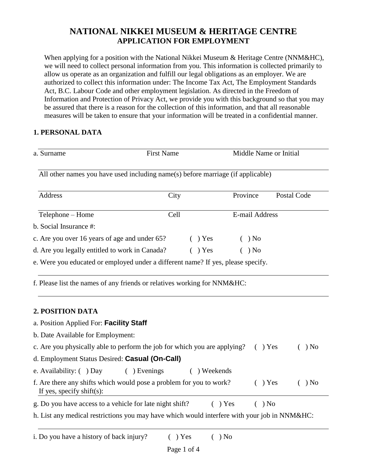# **NATIONAL NIKKEI MUSEUM & HERITAGE CENTRE APPLICATION FOR EMPLOYMENT**

When applying for a position with the National Nikkei Museum & Heritage Centre (NNM&HC), we will need to collect personal information from you. This information is collected primarily to allow us operate as an organization and fulfill our legal obligations as an employer. We are authorized to collect this information under: The Income Tax Act, The Employment Standards Act, B.C. Labour Code and other employment legislation. As directed in the Freedom of Information and Protection of Privacy Act, we provide you with this background so that you may be assured that there is a reason for the collection of this information, and that all reasonable measures will be taken to ensure that your information will be treated in a confidential manner.

## **1. PERSONAL DATA**

| <b>First Name</b>                              |  | Middle Name or Initial |                        |  |                                                                                                                                                                                                                   |
|------------------------------------------------|--|------------------------|------------------------|--|-------------------------------------------------------------------------------------------------------------------------------------------------------------------------------------------------------------------|
|                                                |  |                        |                        |  |                                                                                                                                                                                                                   |
| City                                           |  |                        |                        |  | Postal Code                                                                                                                                                                                                       |
| Cell                                           |  |                        |                        |  |                                                                                                                                                                                                                   |
|                                                |  |                        |                        |  |                                                                                                                                                                                                                   |
| c. Are you over 16 years of age and under 65?  |  |                        |                        |  |                                                                                                                                                                                                                   |
| d. Are you legally entitled to work in Canada? |  |                        |                        |  |                                                                                                                                                                                                                   |
|                                                |  |                        |                        |  |                                                                                                                                                                                                                   |
|                                                |  |                        | $( )$ Yes<br>$( )$ Yes |  | All other names you have used including name(s) before marriage (if applicable)<br>Province<br>E-mail Address<br>) No<br>) No<br>e. Were you educated or employed under a different name? If yes, please specify. |

f. Please list the names of any friends or relatives working for NNM&HC:

## **2. POSITION DATA**

| a. Position Applied For: Facility Staff                                                          |           |      |
|--------------------------------------------------------------------------------------------------|-----------|------|
| b. Date Available for Employment:                                                                |           |      |
| c. Are you physically able to perform the job for which you are applying?                        | $( )$ Yes | ) No |
| d. Employment Status Desired: Casual (On-Call)                                                   |           |      |
| e. Availability: ( ) Day<br>$( )$ Evenings<br>Weekends                                           |           |      |
| f. Are there any shifts which would pose a problem for you to work?<br>If yes, specify shift(s): | $( )$ Yes | ) No |
| g. Do you have access to a vehicle for late night shift?<br>$( )$ Yes                            | $( )$ No  |      |
| h. List any medical restrictions you may have which would interfere with your job in NNM&HC:     |           |      |
|                                                                                                  |           |      |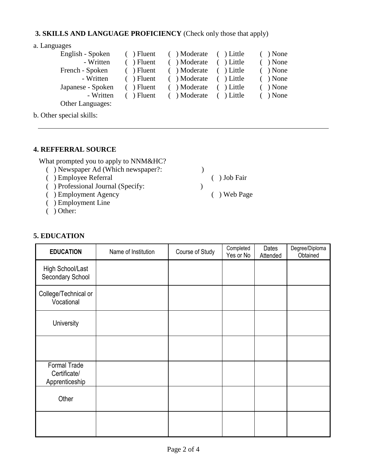#### **3. SKILLS AND LANGUAGE PROFICIENCY** (Check only those that apply)

a. Languages

| English - Spoken  | $( )$ Fluent | ( ) Moderate ( ) Little |            | $( )$ None |
|-------------------|--------------|-------------------------|------------|------------|
| - Written         | $( )$ Fluent | ( ) Moderate            | ( ) Little | $( )$ None |
| French - Spoken   | $( )$ Fluent | ( ) Moderate ( ) Little |            | $( )$ None |
| - Written         | $( )$ Fluent | ( ) Moderate ( ) Little |            | $( )$ None |
| Japanese - Spoken | $( )$ Fluent | ( ) Moderate ( ) Little |            | $( )$ None |
| - Written         | $( )$ Fluent | ( ) Moderate ( ) Little |            | $( )$ None |
| Other Languages:  |              |                         |            |            |

b. Other special skills:

## **4. REFFERRAL SOURCE**

What prompted you to apply to NNM&HC?

- ( ) Newspaper Ad (Which newspaper?: )
- ( ) Employee Referral ( ) Job Fair
- ( ) Professional Journal (Specify: )
- ( ) Employment Agency ( ) Web Page
- ( ) Employment Line
- ( ) Other:

# **5. EDUCATION**

| <b>EDUCATION</b>                                      | Name of Institution | Course of Study | Completed<br>Yes or No | Dates<br>Attended | Degree/Diploma<br>Obtained |
|-------------------------------------------------------|---------------------|-----------------|------------------------|-------------------|----------------------------|
| High School/Last<br>Secondary School                  |                     |                 |                        |                   |                            |
| College/Technical or<br>Vocational                    |                     |                 |                        |                   |                            |
| University                                            |                     |                 |                        |                   |                            |
|                                                       |                     |                 |                        |                   |                            |
| <b>Formal Trade</b><br>Certificate/<br>Apprenticeship |                     |                 |                        |                   |                            |
| Other                                                 |                     |                 |                        |                   |                            |
|                                                       |                     |                 |                        |                   |                            |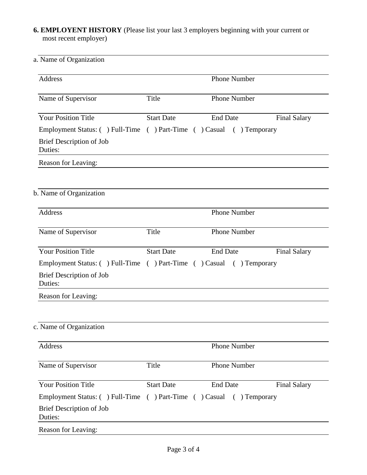# **6. EMPLOYENT HISTORY** (Please list your last 3 employers beginning with your current or most recent employer)

| a. Name of Organization                                             |                     |                     |                     |
|---------------------------------------------------------------------|---------------------|---------------------|---------------------|
| Address                                                             |                     | <b>Phone Number</b> |                     |
| Name of Supervisor                                                  | Title               | <b>Phone Number</b> |                     |
| <b>Your Position Title</b>                                          | <b>Start Date</b>   | <b>End Date</b>     | <b>Final Salary</b> |
| Employment Status: () Full-Time () Part-Time () Casual () Temporary |                     |                     |                     |
| Brief Description of Job<br>Duties:                                 |                     |                     |                     |
| Reason for Leaving:                                                 |                     |                     |                     |
| b. Name of Organization                                             |                     |                     |                     |
| Address                                                             | <b>Phone Number</b> |                     |                     |
| Name of Supervisor                                                  | Title               | <b>Phone Number</b> |                     |
| <b>Your Position Title</b>                                          | <b>Start Date</b>   | <b>End Date</b>     | <b>Final Salary</b> |
| Employment Status: () Full-Time () Part-Time () Casual () Temporary |                     |                     |                     |
| Brief Description of Job<br>Duties:                                 |                     |                     |                     |
| Reason for Leaving:                                                 |                     |                     |                     |
| c. Name of Organization                                             |                     |                     |                     |
| Address                                                             |                     | <b>Phone Number</b> |                     |
| Name of Supervisor                                                  | Title               | Phone Number        |                     |
| <b>Your Position Title</b>                                          | <b>Start Date</b>   | <b>End Date</b>     | <b>Final Salary</b> |
| Employment Status: () Full-Time () Part-Time () Casual () Temporary |                     |                     |                     |
| Brief Description of Job<br>Duties:                                 |                     |                     |                     |
| Reason for Leaving:                                                 |                     |                     |                     |